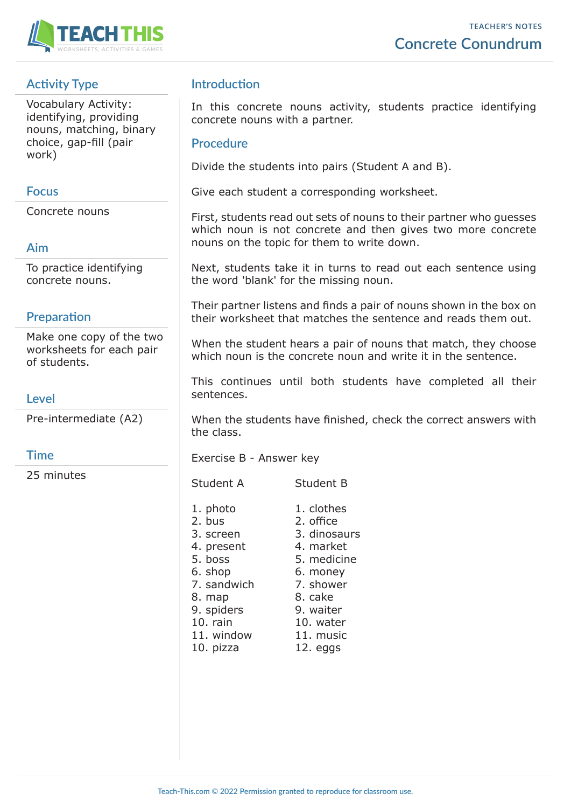

# **Activity Type**

Vocabulary Activity: identifying, providing nouns, matching, binary choice, gap-fill (pair work)

### **Focus**

Concrete nouns

# **Aim**

To practice identifying concrete nouns.

## **Preparation**

Make one copy of the two worksheets for each pair of students.

## **Level**

Pre-intermediate (A2)

## **Time**

25 minutes

## **Introduction**

In this concrete nouns activity, students practice identifying concrete nouns with a partner.

#### **Procedure**

Divide the students into pairs (Student A and B).

Give each student a corresponding worksheet.

First, students read out sets of nouns to their partner who guesses which noun is not concrete and then gives two more concrete nouns on the topic for them to write down.

Next, students take it in turns to read out each sentence using the word 'blank' for the missing noun.

Their partner listens and finds a pair of nouns shown in the box on their worksheet that matches the sentence and reads them out.

When the student hears a pair of nouns that match, they choose which noun is the concrete noun and write it in the sentence.

This continues until both students have completed all their sentences.

When the students have finished, check the correct answers with the class.

Exercise B - Answer key

Student A Student B

1. photo 1. clothes 2. bus 2. office 3. screen 3. dinosaurs 4. present 4. market 5. boss 5. medicine 6. shop 6. money 7. sandwich 7. shower 8. map 8. cake 9. spiders 9. waiter 10. rain 10. water 11. window 11. music 10. pizza 12. eggs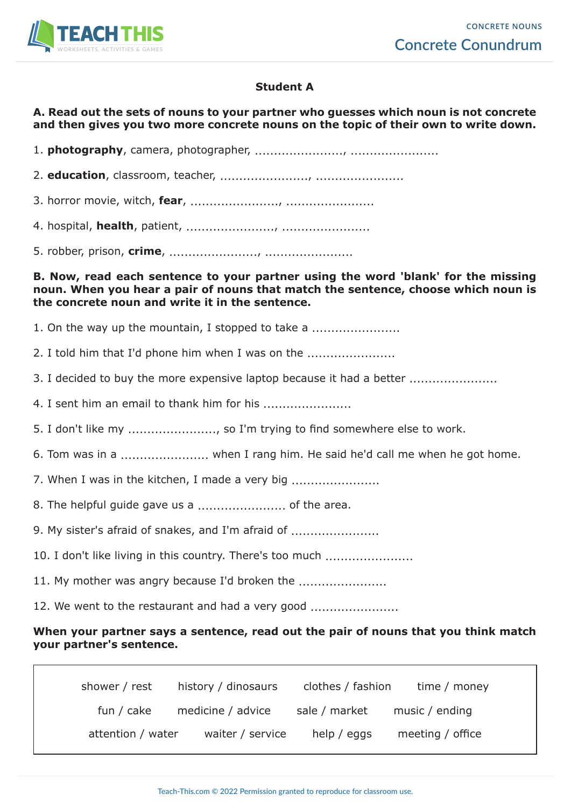

### **Student A**

#### **A. Read out the sets of nouns to your partner who guesses which noun is not concrete and then gives you two more concrete nouns on the topic of their own to write down.**

1. **photography**, camera, photographer, ......................., .......................

2. **education**, classroom, teacher, ......................., .......................

3. horror movie, witch, **fear**, ......................., .......................

4. hospital, **health**, patient, ......................., .......................

5. robber, prison, **crime**, ......................., .......................

**B. Now, read each sentence to your partner using the word 'blank' for the missing noun. When you hear a pair of nouns that match the sentence, choose which noun is the concrete noun and write it in the sentence.**

1. On the way up the mountain, I stopped to take a .............................

2. I told him that I'd phone him when I was on the .......................

3. I decided to buy the more expensive laptop because it had a better ......................

4. I sent him an email to thank him for his ........................

5. I don't like my ......................, so I'm trying to find somewhere else to work.

6. Tom was in a ....................... when I rang him. He said he'd call me when he got home.

7. When I was in the kitchen, I made a very big ................................

8. The helpful guide gave us a ....................... of the area.

9. My sister's afraid of snakes, and I'm afraid of .............................

10. I don't like living in this country. There's too much ......................

11. My mother was angry because I'd broken the .................................

12. We went to the restaurant and had a very good .......................

### **When your partner says a sentence, read out the pair of nouns that you think match your partner's sentence.**

| shower / rest     | history / dinosaurs | clothes / fashion | time / money     |
|-------------------|---------------------|-------------------|------------------|
| fun / cake        | medicine / advice   | sale / market     | music / ending   |
| attention / water | waiter / service    | help / eggs       | meeting / office |